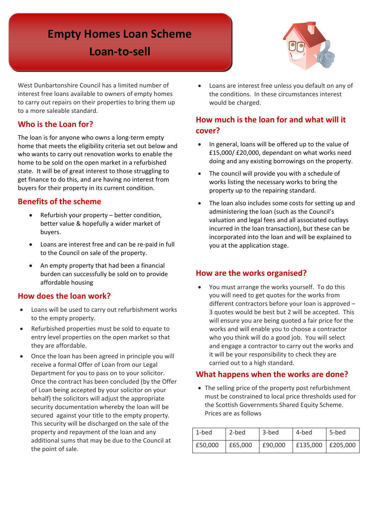# **Empty Homes Loan Scheme**

**Loan-to-sell** 



 West Dunbartonshire Council has a limited number of interest free loans available to owners of empty homes to carry out repairs on their properties to bring them up to a more saleable standard.

# **Who is the Loan for?**

 home that meets the eligibility criteria set out below and buyers for their property in its current condition. The loan is for anyone who owns a long-term empty who wants to carry out renovation works to enable the home to be sold on the open market in a refurbished state. It will be of great interest to those struggling to get finance to do this, and are having no interest from

# **Benefits of the scheme**

- Refurbish your property better condition, better value & hopefully a wider market of buyers.
- Loans are interest free and can be re-paid in full to the Council on sale of the property.
- An empty property that had been a financial burden can successfully be sold on to provide affordable housing

# **How does the loan work?**

- Loans will be used to carry out refurbishment works to the empty property.
- • Refurbished properties must be sold to equate to entry level properties on the open market so that they are affordable.
- of Loan being accepted by your solicitor on your secured against your title to the empty property. property and repayment of the loan and any • Once the loan has been agreed in principle you will receive a formal Offer of Loan from our Legal Department for you to pass on to your solicitor. Once the contract has been concluded (by the Offer behalf) the solicitors will adjust the appropriate security documentation whereby the loan will be This security will be discharged on the sale of the additional sums that may be due to the Council at the point of sale.

• Loans are interest free unless you default on any of the conditions. In these circumstances interest would be charged.

# **How much is the loan for and what will it cover?**

- £15,000/ £20,000, dependant on what works need In general, loans will be offered up to the value of doing and any existing borrowings on the property.
- property up to the repairing standard. • The council will provide you with a schedule of works listing the necessary works to bring the
- The loan also includes some costs for setting up and administering the loan (such as the Council's valuation and legal fees and all associated outlays incurred in the loan transaction), but these can be incorporated into the loan and will be explained to you at the application stage.

# **How are the works organised?**

 will ensure you are being quoted a fair price for the works and will enable you to choose a contractor who you think will do a good job. You will select it will be your responsibility to check they are • You must arrange the works yourself. To do this you will need to get quotes for the works from different contractors before your loan is approved – 3 quotes would be best but 2 will be accepted. This and engage a contractor to carry out the works and carried out to a high standard.

# **What happens when the works are done?**

 Prices are as follows • The selling price of the property post refurbishment must be constrained to local price thresholds used for the Scottish Governments Shared Equity Scheme.

| 1-bed   | 2-bed   | 3-bed   | 4-bed               | 5-bed |
|---------|---------|---------|---------------------|-------|
| £50,000 | £65,000 | £90.000 | £135,000   £205,000 |       |